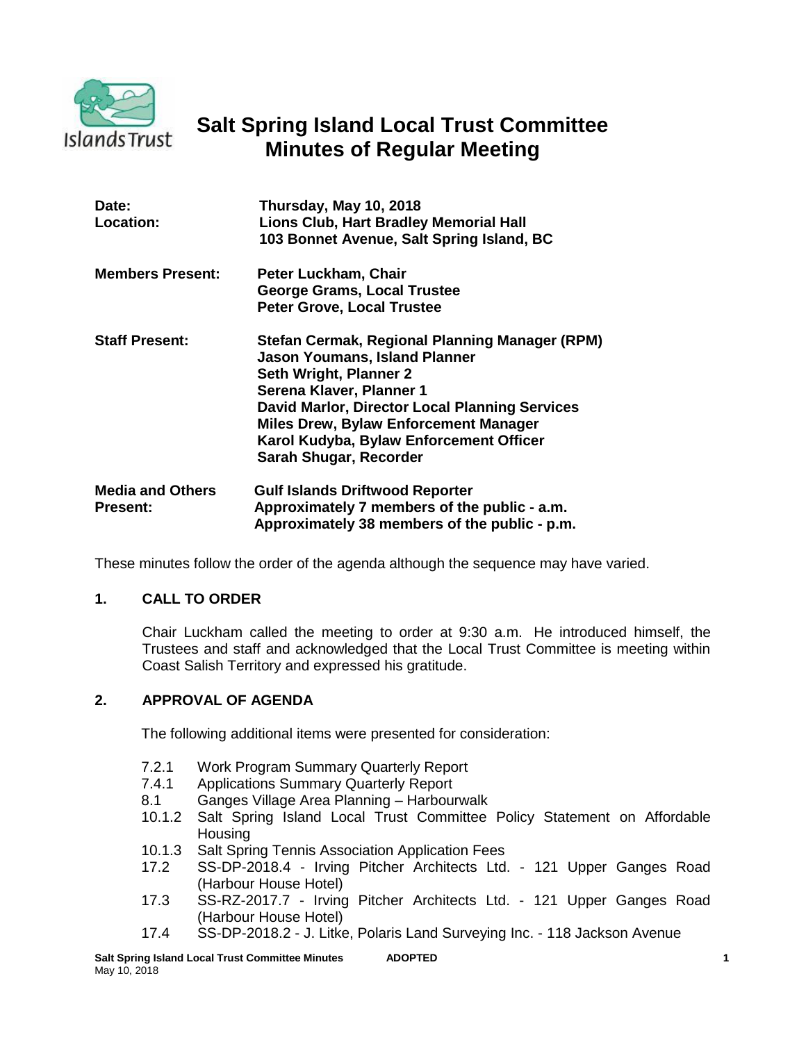

# **Salt Spring Island Local Trust Committee Minutes of Regular Meeting**

| Date:<br><b>Location:</b>                  | Thursday, May 10, 2018<br>Lions Club, Hart Bradley Memorial Hall<br>103 Bonnet Avenue, Salt Spring Island, BC                                                                                                                                                                                                              |
|--------------------------------------------|----------------------------------------------------------------------------------------------------------------------------------------------------------------------------------------------------------------------------------------------------------------------------------------------------------------------------|
| <b>Members Present:</b>                    | Peter Luckham, Chair<br><b>George Grams, Local Trustee</b><br><b>Peter Grove, Local Trustee</b>                                                                                                                                                                                                                            |
| <b>Staff Present:</b>                      | Stefan Cermak, Regional Planning Manager (RPM)<br><b>Jason Youmans, Island Planner</b><br>Seth Wright, Planner 2<br>Serena Klaver, Planner 1<br><b>David Marlor, Director Local Planning Services</b><br><b>Miles Drew, Bylaw Enforcement Manager</b><br>Karol Kudyba, Bylaw Enforcement Officer<br>Sarah Shugar, Recorder |
| <b>Media and Others</b><br><b>Present:</b> | <b>Gulf Islands Driftwood Reporter</b><br>Approximately 7 members of the public - a.m.<br>Approximately 38 members of the public - p.m.                                                                                                                                                                                    |

These minutes follow the order of the agenda although the sequence may have varied.

## **1. CALL TO ORDER**

Chair Luckham called the meeting to order at 9:30 a.m. He introduced himself, the Trustees and staff and acknowledged that the Local Trust Committee is meeting within Coast Salish Territory and expressed his gratitude.

## **2. APPROVAL OF AGENDA**

The following additional items were presented for consideration:

- 7.2.1 Work Program Summary Quarterly Report
- 7.4.1 Applications Summary Quarterly Report
- 8.1 Ganges Village Area Planning Harbourwalk
- 10.1.2 Salt Spring Island Local Trust Committee Policy Statement on Affordable **Housing**
- 10.1.3 Salt Spring Tennis Association Application Fees
- 17.2 SS-DP-2018.4 Irving Pitcher Architects Ltd. 121 Upper Ganges Road (Harbour House Hotel)
- 17.3 SS-RZ-2017.7 Irving Pitcher Architects Ltd. 121 Upper Ganges Road (Harbour House Hotel)
- 17.4 SS-DP-2018.2 J. Litke, Polaris Land Surveying Inc. 118 Jackson Avenue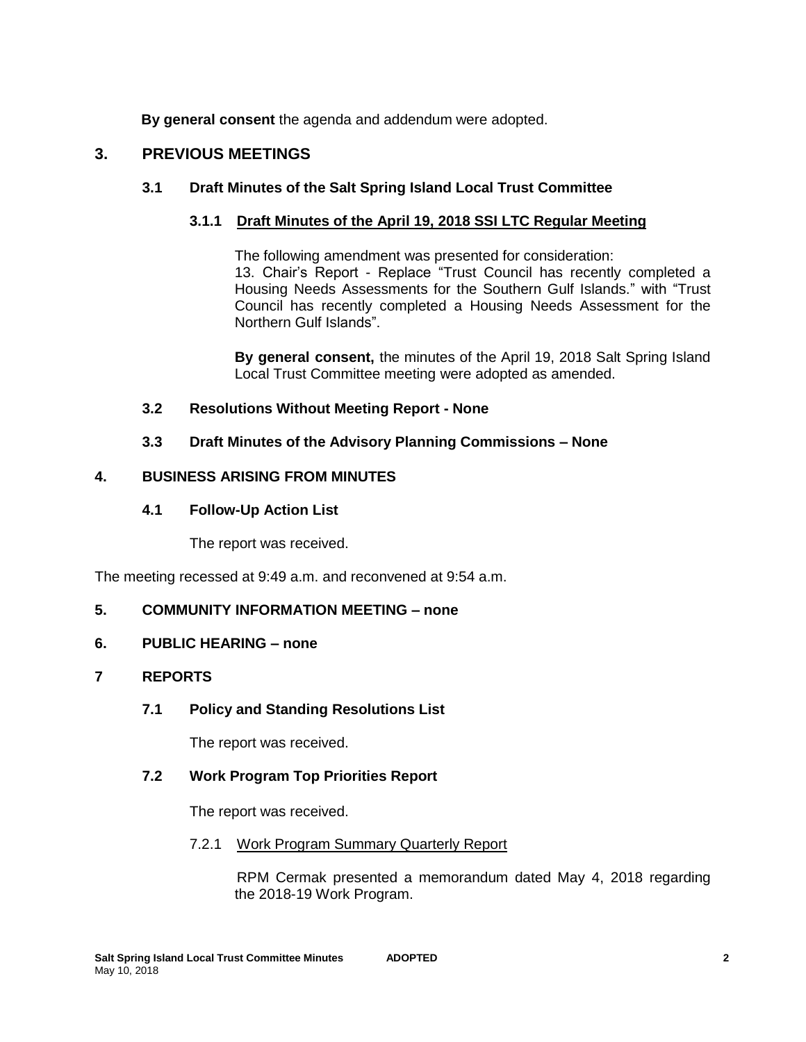**By general consent** the agenda and addendum were adopted.

## **3. PREVIOUS MEETINGS**

## **3.1 Draft Minutes of the Salt Spring Island Local Trust Committee**

## **3.1.1 Draft Minutes of the April 19, 2018 SSI LTC Regular Meeting**

The following amendment was presented for consideration: 13. Chair's Report - Replace "Trust Council has recently completed a Housing Needs Assessments for the Southern Gulf Islands." with "Trust Council has recently completed a Housing Needs Assessment for the Northern Gulf Islands".

**By general consent,** the minutes of the April 19, 2018 Salt Spring Island Local Trust Committee meeting were adopted as amended.

## **3.2 Resolutions Without Meeting Report - None**

## **3.3 Draft Minutes of the Advisory Planning Commissions – None**

## **4. BUSINESS ARISING FROM MINUTES**

## **4.1 Follow-Up Action List**

The report was received.

The meeting recessed at 9:49 a.m. and reconvened at 9:54 a.m.

## **5. COMMUNITY INFORMATION MEETING – none**

## **6. PUBLIC HEARING – none**

## **7 REPORTS**

## **7.1 Policy and Standing Resolutions List**

The report was received.

## **7.2 Work Program Top Priorities Report**

The report was received.

## 7.2.1 Work Program Summary Quarterly Report

RPM Cermak presented a memorandum dated May 4, 2018 regarding the 2018-19 Work Program.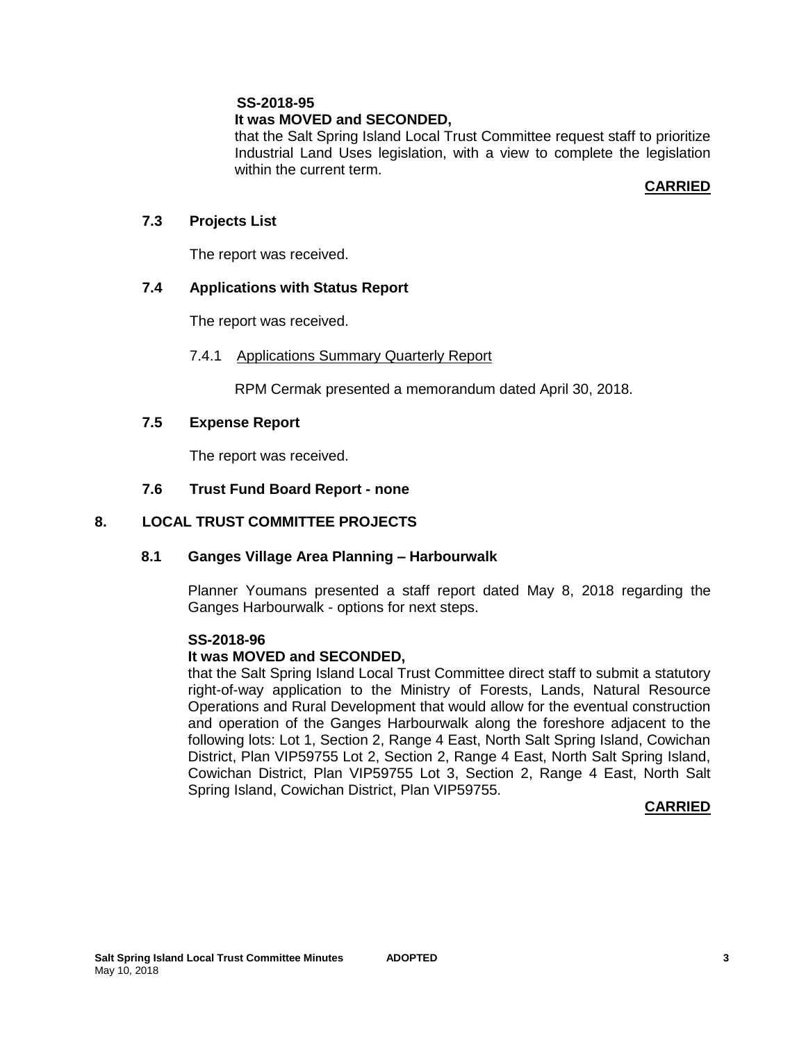## **It was MOVED and SECONDED,**

that the Salt Spring Island Local Trust Committee request staff to prioritize Industrial Land Uses legislation, with a view to complete the legislation within the current term.

## **CARRIED**

#### **7.3 Projects List**

The report was received.

## **7.4 Applications with Status Report**

The report was received.

#### 7.4.1 Applications Summary Quarterly Report

RPM Cermak presented a memorandum dated April 30, 2018.

#### **7.5 Expense Report**

The report was received.

## **7.6 Trust Fund Board Report - none**

## **8. LOCAL TRUST COMMITTEE PROJECTS**

#### **8.1 Ganges Village Area Planning – Harbourwalk**

Planner Youmans presented a staff report dated May 8, 2018 regarding the Ganges Harbourwalk - options for next steps.

#### **SS-2018-96**

#### **It was MOVED and SECONDED,**

that the Salt Spring Island Local Trust Committee direct staff to submit a statutory right-of-way application to the Ministry of Forests, Lands, Natural Resource Operations and Rural Development that would allow for the eventual construction and operation of the Ganges Harbourwalk along the foreshore adjacent to the following lots: Lot 1, Section 2, Range 4 East, North Salt Spring Island, Cowichan District, Plan VIP59755 Lot 2, Section 2, Range 4 East, North Salt Spring Island, Cowichan District, Plan VIP59755 Lot 3, Section 2, Range 4 East, North Salt Spring Island, Cowichan District, Plan VIP59755.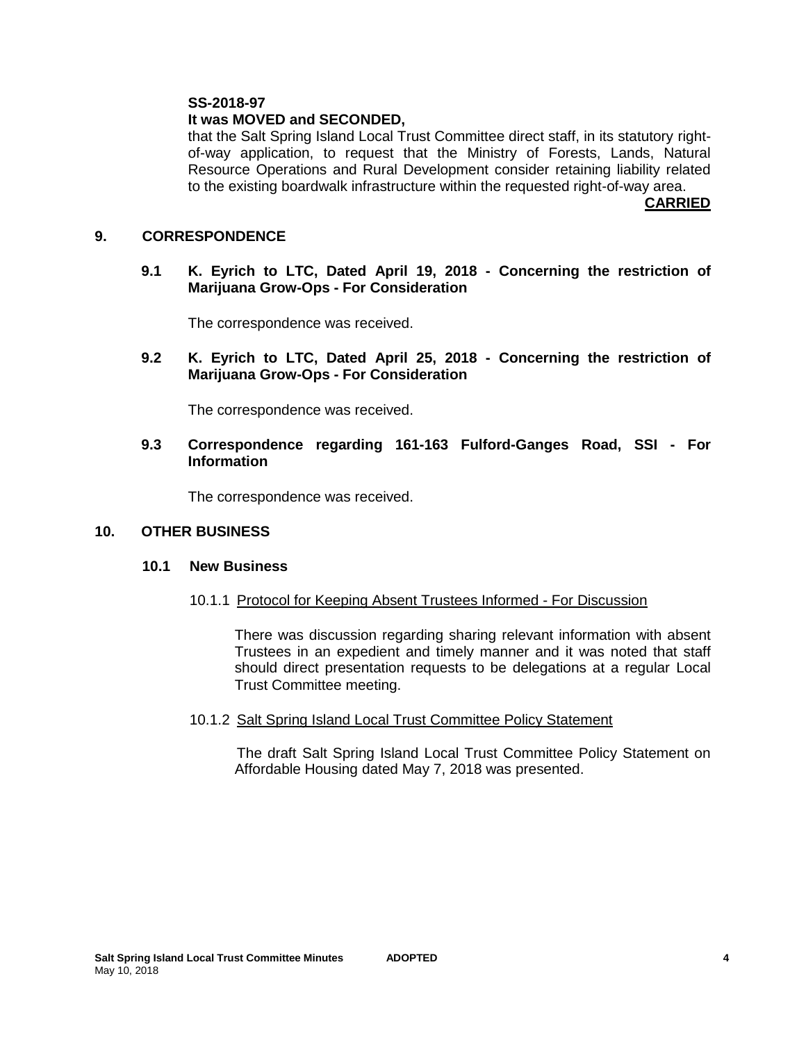## **It was MOVED and SECONDED,**

that the Salt Spring Island Local Trust Committee direct staff, in its statutory rightof-way application, to request that the Ministry of Forests, Lands, Natural Resource Operations and Rural Development consider retaining liability related to the existing boardwalk infrastructure within the requested right-of-way area.

**CARRIED**

#### **9. CORRESPONDENCE**

**9.1 K. Eyrich to LTC, Dated April 19, 2018 - Concerning the restriction of Marijuana Grow-Ops - For Consideration** 

The correspondence was received.

**9.2 K. Eyrich to LTC, Dated April 25, 2018 - Concerning the restriction of Marijuana Grow-Ops - For Consideration** 

The correspondence was received.

#### **9.3 Correspondence regarding 161-163 Fulford-Ganges Road, SSI - For Information**

The correspondence was received.

#### **10. OTHER BUSINESS**

#### **10.1 New Business**

10.1.1 Protocol for Keeping Absent Trustees Informed - For Discussion

There was discussion regarding sharing relevant information with absent Trustees in an expedient and timely manner and it was noted that staff should direct presentation requests to be delegations at a regular Local Trust Committee meeting.

10.1.2 Salt Spring Island Local Trust Committee Policy Statement

The draft Salt Spring Island Local Trust Committee Policy Statement on Affordable Housing dated May 7, 2018 was presented.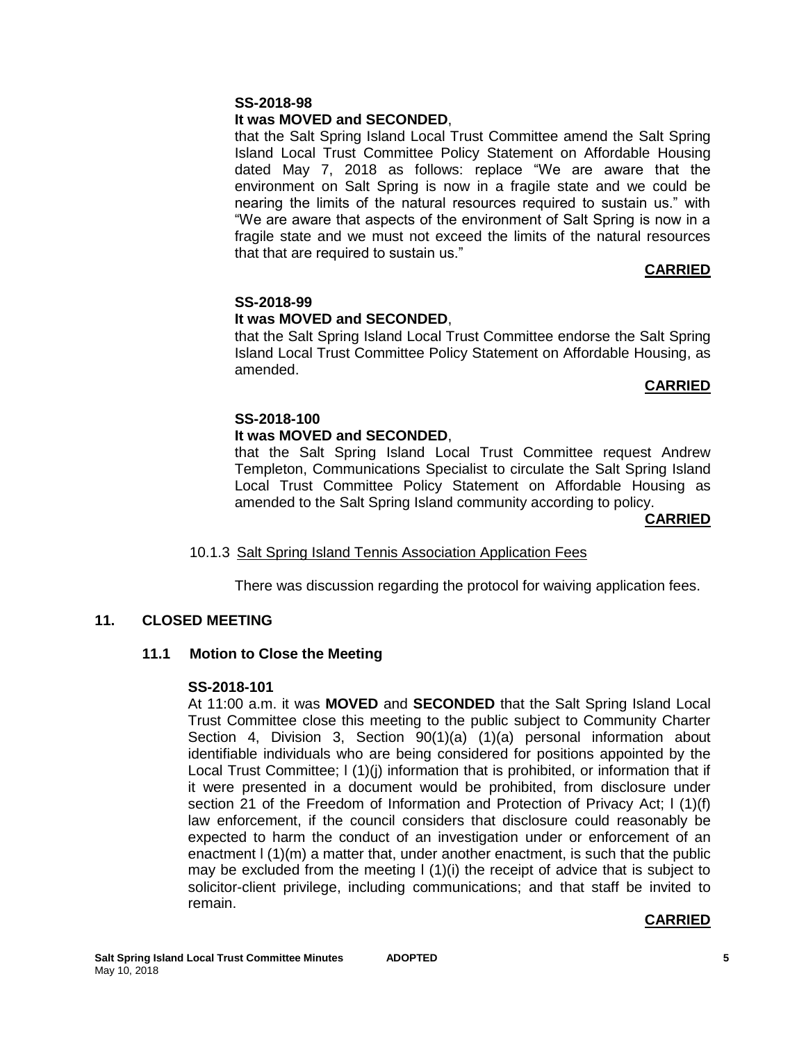## **It was MOVED and SECONDED**,

that the Salt Spring Island Local Trust Committee amend the Salt Spring Island Local Trust Committee Policy Statement on Affordable Housing dated May 7, 2018 as follows: replace "We are aware that the environment on Salt Spring is now in a fragile state and we could be nearing the limits of the natural resources required to sustain us." with "We are aware that aspects of the environment of Salt Spring is now in a fragile state and we must not exceed the limits of the natural resources that that are required to sustain us."

## **CARRIED**

## **SS-2018-99 It was MOVED and SECONDED**,

that the Salt Spring Island Local Trust Committee endorse the Salt Spring Island Local Trust Committee Policy Statement on Affordable Housing, as amended.

## **CARRIED**

## **SS-2018-100 It was MOVED and SECONDED**,

that the Salt Spring Island Local Trust Committee request Andrew Templeton, Communications Specialist to circulate the Salt Spring Island Local Trust Committee Policy Statement on Affordable Housing as amended to the Salt Spring Island community according to policy.

#### **CARRIED**

## 10.1.3 Salt Spring Island Tennis Association Application Fees

There was discussion regarding the protocol for waiving application fees.

## **11. CLOSED MEETING**

## **11.1 Motion to Close the Meeting**

#### **SS-2018-101**

At 11:00 a.m. it was **MOVED** and **SECONDED** that the Salt Spring Island Local Trust Committee close this meeting to the public subject to Community Charter Section 4, Division 3, Section 90(1)(a) (1)(a) personal information about identifiable individuals who are being considered for positions appointed by the Local Trust Committee;  $I(1)(i)$  information that is prohibited, or information that if it were presented in a document would be prohibited, from disclosure under section 21 of the Freedom of Information and Protection of Privacy Act; I (1)(f) law enforcement, if the council considers that disclosure could reasonably be expected to harm the conduct of an investigation under or enforcement of an enactment l (1)(m) a matter that, under another enactment, is such that the public may be excluded from the meeting  $\frac{1}{1}$  (1)(i) the receipt of advice that is subject to solicitor-client privilege, including communications; and that staff be invited to remain.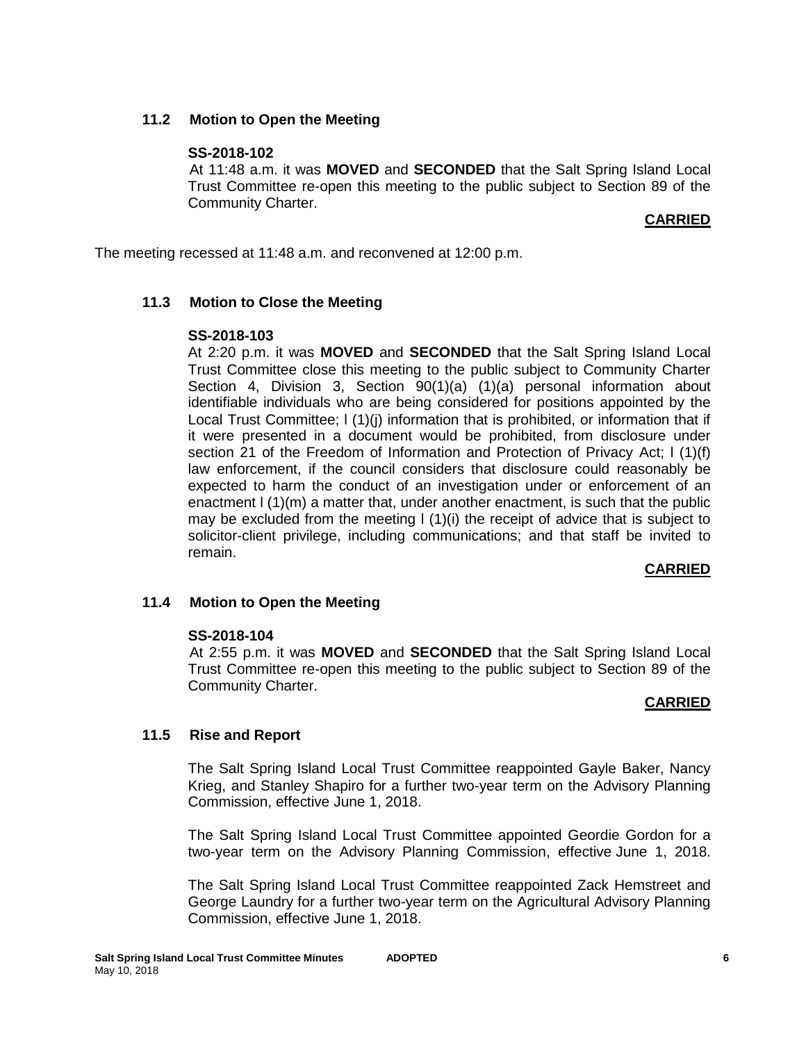## **11.2 Motion to Open the Meeting**

## **SS-2018-102**

At 11:48 a.m. it was **MOVED** and **SECONDED** that the Salt Spring Island Local Trust Committee re-open this meeting to the public subject to Section 89 of the Community Charter.

## **CARRIED**

The meeting recessed at 11:48 a.m. and reconvened at 12:00 p.m.

## **11.3 Motion to Close the Meeting**

#### **SS-2018-103**

At 2:20 p.m. it was **MOVED** and **SECONDED** that the Salt Spring Island Local Trust Committee close this meeting to the public subject to Community Charter Section 4, Division 3, Section 90(1)(a) (1)(a) personal information about identifiable individuals who are being considered for positions appointed by the Local Trust Committee;  $I(1)(i)$  information that is prohibited, or information that if it were presented in a document would be prohibited, from disclosure under section 21 of the Freedom of Information and Protection of Privacy Act; l (1)(f) law enforcement, if the council considers that disclosure could reasonably be expected to harm the conduct of an investigation under or enforcement of an enactment l (1)(m) a matter that, under another enactment, is such that the public may be excluded from the meeting l (1)(i) the receipt of advice that is subject to solicitor-client privilege, including communications; and that staff be invited to remain.

## **CARRIED**

## **11.4 Motion to Open the Meeting**

## **SS-2018-104**

At 2:55 p.m. it was **MOVED** and **SECONDED** that the Salt Spring Island Local Trust Committee re-open this meeting to the public subject to Section 89 of the Community Charter.

#### **CARRIED**

## **11.5 Rise and Report**

The Salt Spring Island Local Trust Committee reappointed Gayle Baker, Nancy Krieg, and Stanley Shapiro for a further two-year term on the Advisory Planning Commission, effective June 1, 2018.

The Salt Spring Island Local Trust Committee appointed Geordie Gordon for a two-year term on the Advisory Planning Commission, effective June 1, 2018.

The Salt Spring Island Local Trust Committee reappointed Zack Hemstreet and George Laundry for a further two-year term on the Agricultural Advisory Planning Commission, effective June 1, 2018.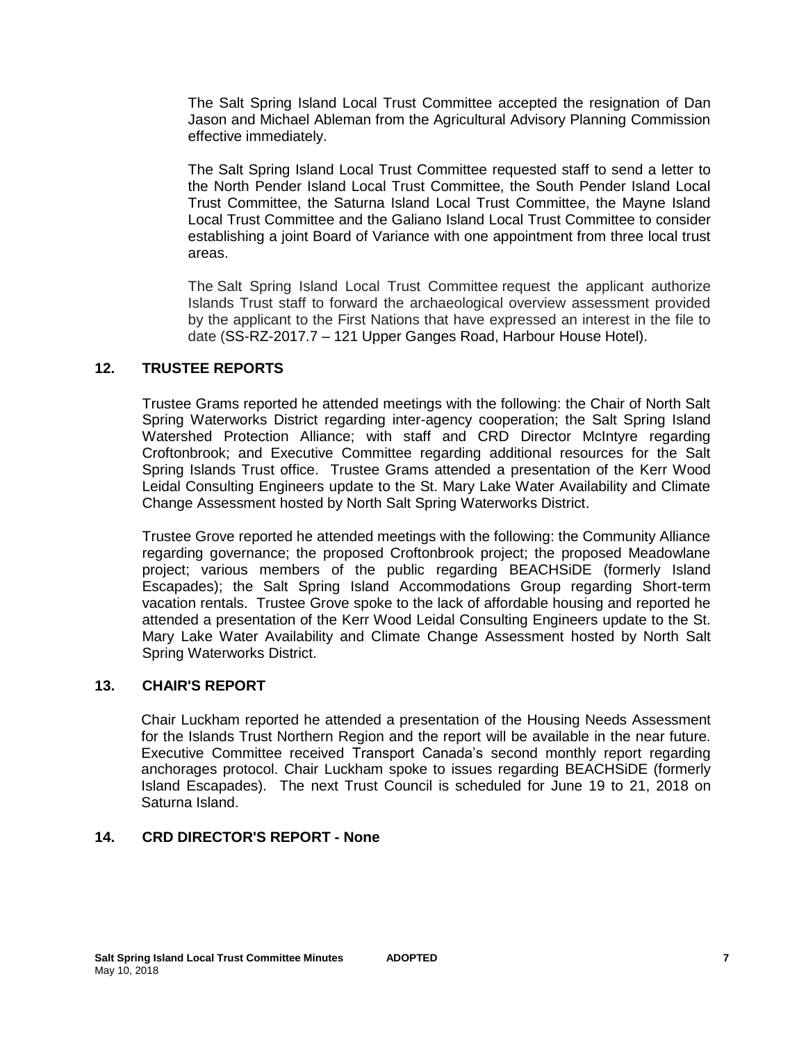The Salt Spring Island Local Trust Committee accepted the resignation of Dan Jason and Michael Ableman from the Agricultural Advisory Planning Commission effective immediately.

The Salt Spring Island Local Trust Committee requested staff to send a letter to the North Pender Island Local Trust Committee, the South Pender Island Local Trust Committee, the Saturna Island Local Trust Committee, the Mayne Island Local Trust Committee and the Galiano Island Local Trust Committee to consider establishing a joint Board of Variance with one appointment from three local trust areas.

The Salt Spring Island Local Trust Committee request the applicant authorize Islands Trust staff to forward the archaeological overview assessment provided by the applicant to the First Nations that have expressed an interest in the file to date (SS-RZ-2017.7 – 121 Upper Ganges Road, Harbour House Hotel).

## **12. TRUSTEE REPORTS**

Trustee Grams reported he attended meetings with the following: the Chair of North Salt Spring Waterworks District regarding inter-agency cooperation; the Salt Spring Island Watershed Protection Alliance; with staff and CRD Director McIntyre regarding Croftonbrook; and Executive Committee regarding additional resources for the Salt Spring Islands Trust office. Trustee Grams attended a presentation of the Kerr Wood Leidal Consulting Engineers update to the St. Mary Lake Water Availability and Climate Change Assessment hosted by North Salt Spring Waterworks District.

Trustee Grove reported he attended meetings with the following: the Community Alliance regarding governance; the proposed Croftonbrook project; the proposed Meadowlane project; various members of the public regarding BEACHSiDE (formerly Island Escapades); the Salt Spring Island Accommodations Group regarding Short-term vacation rentals. Trustee Grove spoke to the lack of affordable housing and reported he attended a presentation of the Kerr Wood Leidal Consulting Engineers update to the St. Mary Lake Water Availability and Climate Change Assessment hosted by North Salt Spring Waterworks District.

## **13. CHAIR'S REPORT**

Chair Luckham reported he attended a presentation of the Housing Needs Assessment for the Islands Trust Northern Region and the report will be available in the near future. Executive Committee received Transport Canada's second monthly report regarding anchorages protocol. Chair Luckham spoke to issues regarding BEACHSiDE (formerly Island Escapades). The next Trust Council is scheduled for June 19 to 21, 2018 on Saturna Island.

## **14. CRD DIRECTOR'S REPORT - None**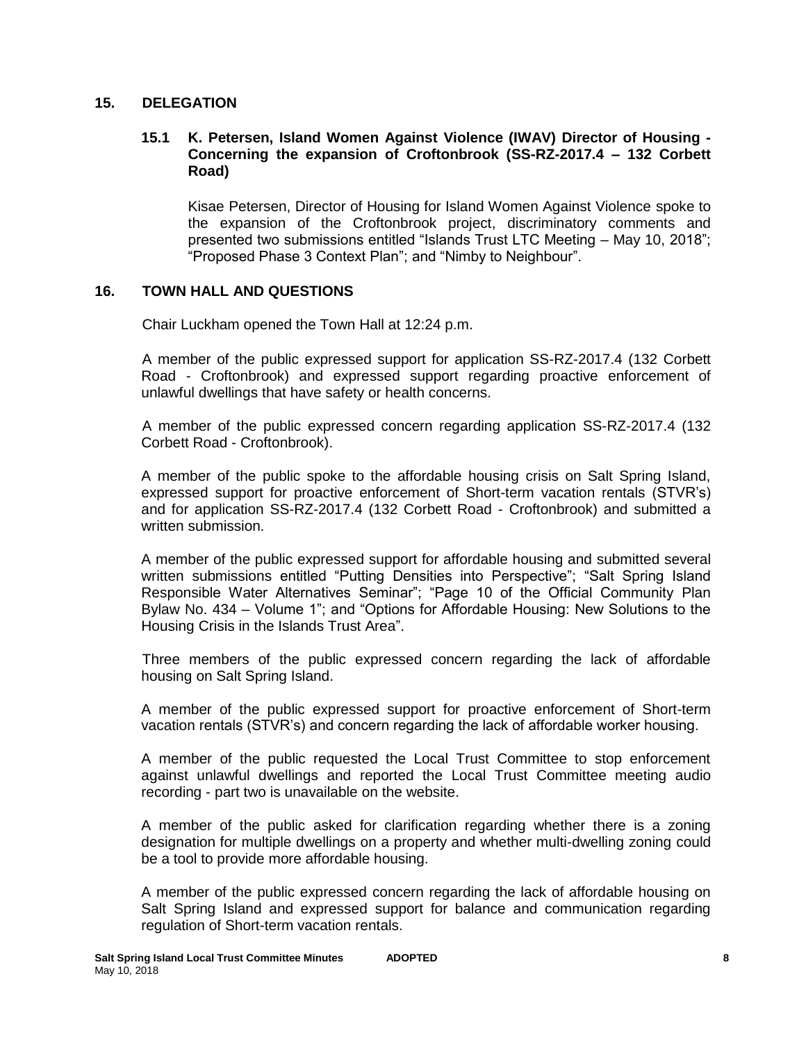#### **15. DELEGATION**

## **15.1 K. Petersen, Island Women Against Violence (IWAV) Director of Housing - Concerning the expansion of Croftonbrook (SS-RZ-2017.4 – 132 Corbett Road)**

Kisae Petersen, Director of Housing for Island Women Against Violence spoke to the expansion of the Croftonbrook project, discriminatory comments and presented two submissions entitled "Islands Trust LTC Meeting – May 10, 2018"; "Proposed Phase 3 Context Plan"; and "Nimby to Neighbour".

## **16. TOWN HALL AND QUESTIONS**

Chair Luckham opened the Town Hall at 12:24 p.m.

A member of the public expressed support for application SS-RZ-2017.4 (132 Corbett Road - Croftonbrook) and expressed support regarding proactive enforcement of unlawful dwellings that have safety or health concerns.

A member of the public expressed concern regarding application SS-RZ-2017.4 (132 Corbett Road - Croftonbrook).

A member of the public spoke to the affordable housing crisis on Salt Spring Island, expressed support for proactive enforcement of Short-term vacation rentals (STVR's) and for application SS-RZ-2017.4 (132 Corbett Road - Croftonbrook) and submitted a written submission.

A member of the public expressed support for affordable housing and submitted several written submissions entitled "Putting Densities into Perspective"; "Salt Spring Island Responsible Water Alternatives Seminar"; "Page 10 of the Official Community Plan Bylaw No. 434 – Volume 1"; and "Options for Affordable Housing: New Solutions to the Housing Crisis in the Islands Trust Area".

Three members of the public expressed concern regarding the lack of affordable housing on Salt Spring Island.

A member of the public expressed support for proactive enforcement of Short-term vacation rentals (STVR's) and concern regarding the lack of affordable worker housing.

A member of the public requested the Local Trust Committee to stop enforcement against unlawful dwellings and reported the Local Trust Committee meeting audio recording - part two is unavailable on the website.

A member of the public asked for clarification regarding whether there is a zoning designation for multiple dwellings on a property and whether multi-dwelling zoning could be a tool to provide more affordable housing.

A member of the public expressed concern regarding the lack of affordable housing on Salt Spring Island and expressed support for balance and communication regarding regulation of Short-term vacation rentals.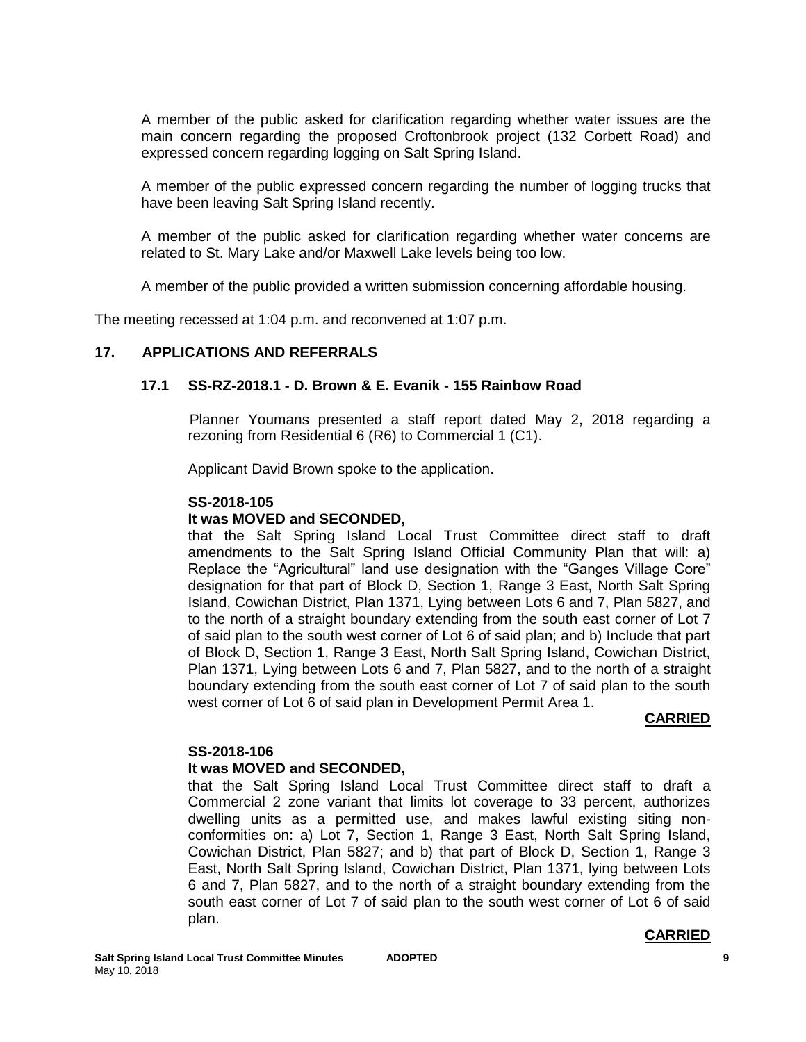A member of the public asked for clarification regarding whether water issues are the main concern regarding the proposed Croftonbrook project (132 Corbett Road) and expressed concern regarding logging on Salt Spring Island.

A member of the public expressed concern regarding the number of logging trucks that have been leaving Salt Spring Island recently.

A member of the public asked for clarification regarding whether water concerns are related to St. Mary Lake and/or Maxwell Lake levels being too low.

A member of the public provided a written submission concerning affordable housing.

The meeting recessed at 1:04 p.m. and reconvened at 1:07 p.m.

## **17. APPLICATIONS AND REFERRALS**

#### **17.1 SS-RZ-2018.1 - D. Brown & E. Evanik - 155 Rainbow Road**

Planner Youmans presented a staff report dated May 2, 2018 regarding a rezoning from Residential 6 (R6) to Commercial 1 (C1).

Applicant David Brown spoke to the application.

#### **SS-2018-105**

#### **It was MOVED and SECONDED,**

that the Salt Spring Island Local Trust Committee direct staff to draft amendments to the Salt Spring Island Official Community Plan that will: a) Replace the "Agricultural" land use designation with the "Ganges Village Core" designation for that part of Block D, Section 1, Range 3 East, North Salt Spring Island, Cowichan District, Plan 1371, Lying between Lots 6 and 7, Plan 5827, and to the north of a straight boundary extending from the south east corner of Lot 7 of said plan to the south west corner of Lot 6 of said plan; and b) Include that part of Block D, Section 1, Range 3 East, North Salt Spring Island, Cowichan District, Plan 1371, Lying between Lots 6 and 7, Plan 5827, and to the north of a straight boundary extending from the south east corner of Lot 7 of said plan to the south west corner of Lot 6 of said plan in Development Permit Area 1.

#### **CARRIED**

#### **SS-2018-106**

#### **It was MOVED and SECONDED,**

that the Salt Spring Island Local Trust Committee direct staff to draft a Commercial 2 zone variant that limits lot coverage to 33 percent, authorizes dwelling units as a permitted use, and makes lawful existing siting nonconformities on: a) Lot 7, Section 1, Range 3 East, North Salt Spring Island, Cowichan District, Plan 5827; and b) that part of Block D, Section 1, Range 3 East, North Salt Spring Island, Cowichan District, Plan 1371, lying between Lots 6 and 7, Plan 5827, and to the north of a straight boundary extending from the south east corner of Lot 7 of said plan to the south west corner of Lot 6 of said plan.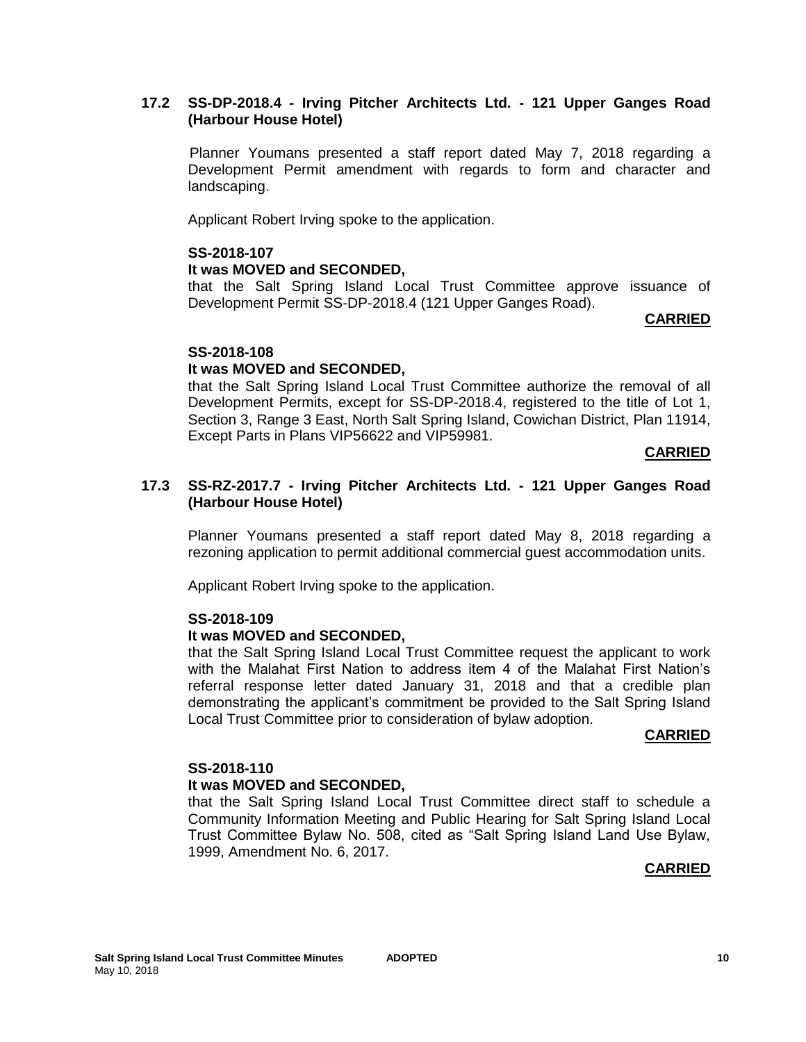## **17.2 SS-DP-2018.4 - Irving Pitcher Architects Ltd. - 121 Upper Ganges Road (Harbour House Hotel)**

Planner Youmans presented a staff report dated May 7, 2018 regarding a Development Permit amendment with regards to form and character and landscaping.

Applicant Robert Irving spoke to the application.

## **SS-2018-107**

## **It was MOVED and SECONDED,**

that the Salt Spring Island Local Trust Committee approve issuance of Development Permit SS-DP-2018.4 (121 Upper Ganges Road).

#### **CARRIED**

## **SS-2018-108**

## **It was MOVED and SECONDED,**

that the Salt Spring Island Local Trust Committee authorize the removal of all Development Permits, except for SS-DP-2018.4, registered to the title of Lot 1, Section 3, Range 3 East, North Salt Spring Island, Cowichan District, Plan 11914, Except Parts in Plans VIP56622 and VIP59981.

#### **CARRIED**

#### **17.3 SS-RZ-2017.7 - Irving Pitcher Architects Ltd. - 121 Upper Ganges Road (Harbour House Hotel)**

Planner Youmans presented a staff report dated May 8, 2018 regarding a rezoning application to permit additional commercial guest accommodation units.

Applicant Robert Irving spoke to the application.

## **SS-2018-109**

## **It was MOVED and SECONDED,**

that the Salt Spring Island Local Trust Committee request the applicant to work with the Malahat First Nation to address item 4 of the Malahat First Nation's referral response letter dated January 31, 2018 and that a credible plan demonstrating the applicant's commitment be provided to the Salt Spring Island Local Trust Committee prior to consideration of bylaw adoption.

#### **CARRIED**

#### **SS-2018-110**

## **It was MOVED and SECONDED,**

that the Salt Spring Island Local Trust Committee direct staff to schedule a Community Information Meeting and Public Hearing for Salt Spring Island Local Trust Committee Bylaw No. 508, cited as "Salt Spring Island Land Use Bylaw, 1999, Amendment No. 6, 2017.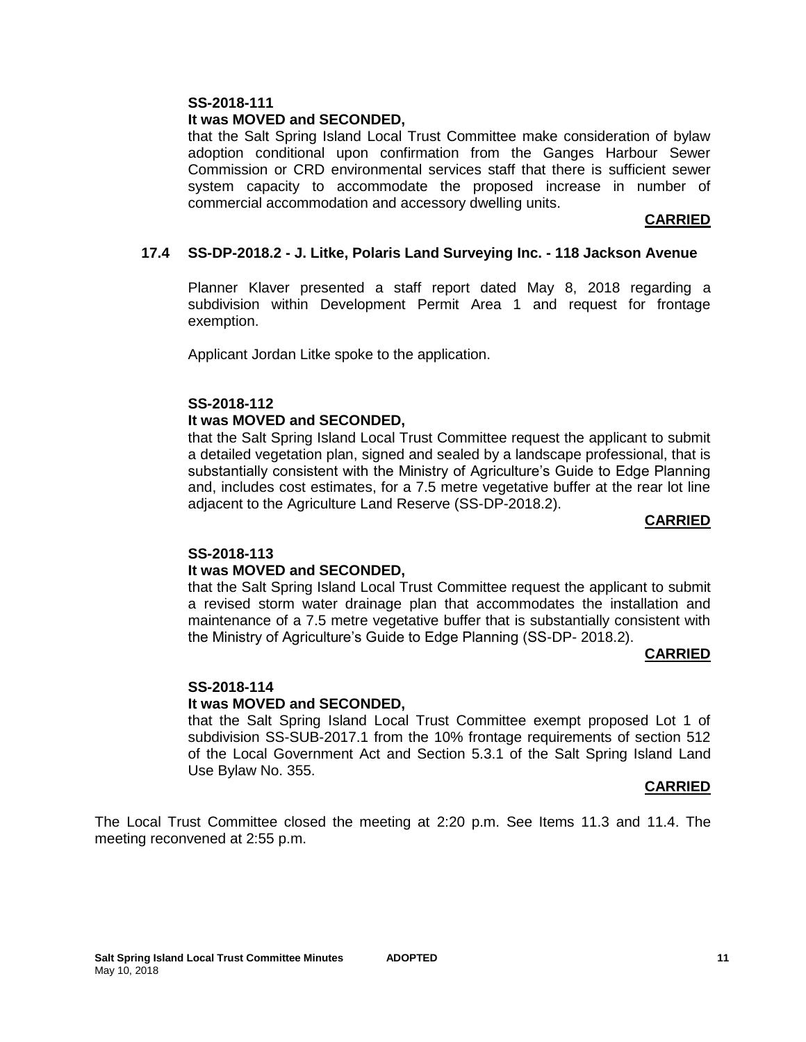## **It was MOVED and SECONDED,**

that the Salt Spring Island Local Trust Committee make consideration of bylaw adoption conditional upon confirmation from the Ganges Harbour Sewer Commission or CRD environmental services staff that there is sufficient sewer system capacity to accommodate the proposed increase in number of commercial accommodation and accessory dwelling units.

## **CARRIED**

## **17.4 SS-DP-2018.2 - J. Litke, Polaris Land Surveying Inc. - 118 Jackson Avenue**

Planner Klaver presented a staff report dated May 8, 2018 regarding a subdivision within Development Permit Area 1 and request for frontage exemption.

Applicant Jordan Litke spoke to the application.

## **SS-2018-112**

## **It was MOVED and SECONDED,**

that the Salt Spring Island Local Trust Committee request the applicant to submit a detailed vegetation plan, signed and sealed by a landscape professional, that is substantially consistent with the Ministry of Agriculture's Guide to Edge Planning and, includes cost estimates, for a 7.5 metre vegetative buffer at the rear lot line adjacent to the Agriculture Land Reserve (SS-DP-2018.2).

## **CARRIED**

## **SS-2018-113**

## **It was MOVED and SECONDED,**

that the Salt Spring Island Local Trust Committee request the applicant to submit a revised storm water drainage plan that accommodates the installation and maintenance of a 7.5 metre vegetative buffer that is substantially consistent with the Ministry of Agriculture's Guide to Edge Planning (SS-DP- 2018.2).

## **CARRIED**

## **SS-2018-114**

## **It was MOVED and SECONDED,**

that the Salt Spring Island Local Trust Committee exempt proposed Lot 1 of subdivision SS-SUB-2017.1 from the 10% frontage requirements of section 512 of the Local Government Act and Section 5.3.1 of the Salt Spring Island Land Use Bylaw No. 355.

#### **CARRIED**

The Local Trust Committee closed the meeting at 2:20 p.m. See Items 11.3 and 11.4. The meeting reconvened at 2:55 p.m.